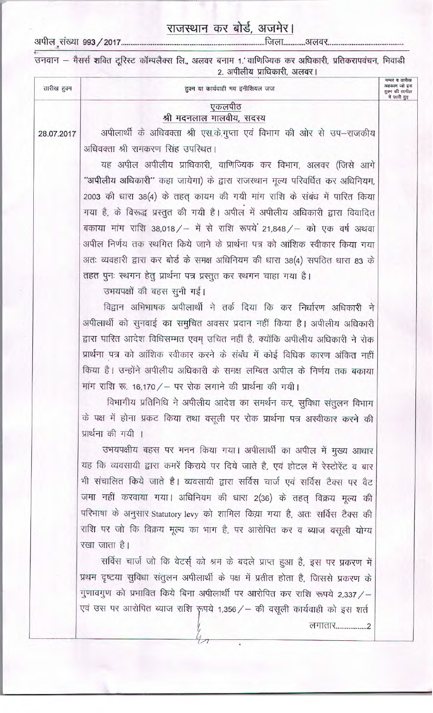## राजस्थान कर बोर्ड, अजमेर।

अपील संख्या ९९३ / २०१7

| तारीख हुक्म | हुक्म या कार्यवाही मय इनीशियल जज                                                                                                                            | नम्बर व तारीख<br>अहकाम जो इस<br>हुक्म की तामील<br>में जारी हुए |
|-------------|-------------------------------------------------------------------------------------------------------------------------------------------------------------|----------------------------------------------------------------|
|             | एकलपीठ                                                                                                                                                      |                                                                |
|             | श्री मदनलाल मालवीय, सदस्य                                                                                                                                   |                                                                |
| 28.07.2017  | अपीलार्थी के अधिवक्ता श्री एस.के.गुप्ता एवं विभाग की ओर से उप–राजकीय                                                                                        |                                                                |
|             | अधिवक्ता श्री रामकरण सिंह उपरिथत।                                                                                                                           |                                                                |
|             | यह अपील अपीलीय प्राधिकारी, वाणिज्यिक कर विभाग, अलवर (जिसे आगे                                                                                               |                                                                |
|             | ''अपीलीय अधिकारी'' कहा जायेगा) के द्वारा राजस्थान मूल्य परिवर्धित कर अधिनियम,                                                                               |                                                                |
|             | 2003 की धारा 38(4) के तहत् कायम की गयी मांग राशि के संबंध में पारित किया                                                                                    |                                                                |
|             | गया है, के विरूद्ध प्रस्तुत की गयी है। अपील में अपीलीय अधिकारी द्वारा विवादित                                                                               |                                                                |
|             | बकाया मांग राशि 38,018 / – में से राशि रूपये 21,848 / – को एक वर्ष अथवा                                                                                     |                                                                |
|             | अपील निर्णय तक स्थगित किये जाने के प्रार्थना पत्र को आंशिक स्वीकार किया गया                                                                                 |                                                                |
|             | अतः व्यवहारी द्वारा कर बोर्ड के समक्ष अधिनियम की धारा 38(4) सपठित धारा 83 के                                                                                |                                                                |
|             | तहत पुनः स्थगन हेतु प्रार्थना पत्र प्रस्तुत कर स्थगन चाहा गया है।                                                                                           |                                                                |
|             | उभयपक्षों की बहस सुनी गई।                                                                                                                                   |                                                                |
|             | विद्वान अभिभाषक अपीलार्थी ने तर्क दिया कि कर निर्धारण अधिकारी ने                                                                                            |                                                                |
|             | अपीलार्थी को सुनवाई का समुचित अवसर प्रदान नहीं किया है। अपीलीय अधिकारी                                                                                      |                                                                |
|             | द्वारा पारित आदेश विधिसम्मत एवम् उचित नहीं है, क्योंकि अपीलीय अधिकारी ने रोक<br>प्रार्थना पत्र को आंशिक स्वीकार करने के संबंध में कोई विधिक कारण अंकित नहीं |                                                                |
|             | किया है। उन्होंने अपीलीय अधिकारी के समक्ष लम्बित अपील के निर्णय तक बकाया                                                                                    |                                                                |
|             | मांग राशि रू. 16,170 / – पर रोक लगाने की प्रार्थना की गयी।                                                                                                  |                                                                |
|             | विभागीय प्रतिनिधि ने अपीलीय आदेश का समर्थन कर, सुविधा संतुलन विभाग                                                                                          |                                                                |
|             | के पक्ष में होना प्रकट किया तथा वसूली पर रोक प्रार्थना पत्र अस्वीकार करने की                                                                                |                                                                |
|             | प्रार्थना की गयी ।                                                                                                                                          |                                                                |
|             | उभयपक्षीय बहस पर मनन किया गया। अपीलार्थी का अपील में मुख्य आधार                                                                                             |                                                                |
|             | यह कि व्यवसायी द्वारा कमरें किराये पर दिये जाते है, एवं होटल में रेस्टोरेंट व बार                                                                           |                                                                |
|             | भी संचालित किये जाते है। व्यवसायी द्वारा सर्विस चार्ज एवं सर्विस टैक्स पर वैट                                                                               |                                                                |
|             | जमा नहीं करवाया गया। अधिनियम की धारा 2(36) के तहत् विक्रय मूल्य की                                                                                          |                                                                |
|             | परिभाषा के अनुसार Statutory levy को शामिल किय़ा गया है, अतः सर्विस टैक्स की                                                                                 |                                                                |
|             | राशि पर जो कि विक्रय मूल्य का भाग है, पर आरोपित कर व ब्याज वसूली योग्य                                                                                      |                                                                |
|             | रखा जाता है।                                                                                                                                                |                                                                |
|             | सर्विस चार्ज जो कि वेटर्स् को श्रम के बदले प्राप्त हुआ है, इस पर प्रकरण में                                                                                 |                                                                |
|             | प्रथम दृष्टया सुविधा संतुलन अपीलार्थी के पक्ष में प्रतीत होता है, जिससे प्रकरण के                                                                           |                                                                |
|             | गुणावगुण को प्रभावित किये बिना अपीलार्थी पर आरोपित कर राशि रूपये 2,337 /-                                                                                   |                                                                |
|             | एवं उस पर आरोपित ब्याज राशि रूपये 1,356 / – की वसूली कार्यवाही को इस शर्त                                                                                   |                                                                |
|             | लगातार2                                                                                                                                                     |                                                                |
|             |                                                                                                                                                             |                                                                |